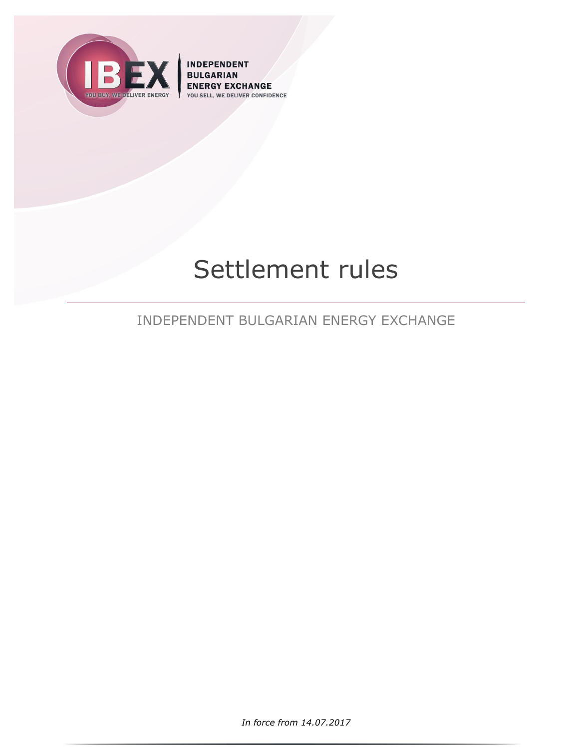

**INDEPENDENT BULGARIAN** ENERGY EXCHANGE DELIVER CONFIDENCE YOU SELL,

# Settlement rules

INDEPENDENT BULGARIAN ENERGY EXCHANGE

*In force from 14.07.2017*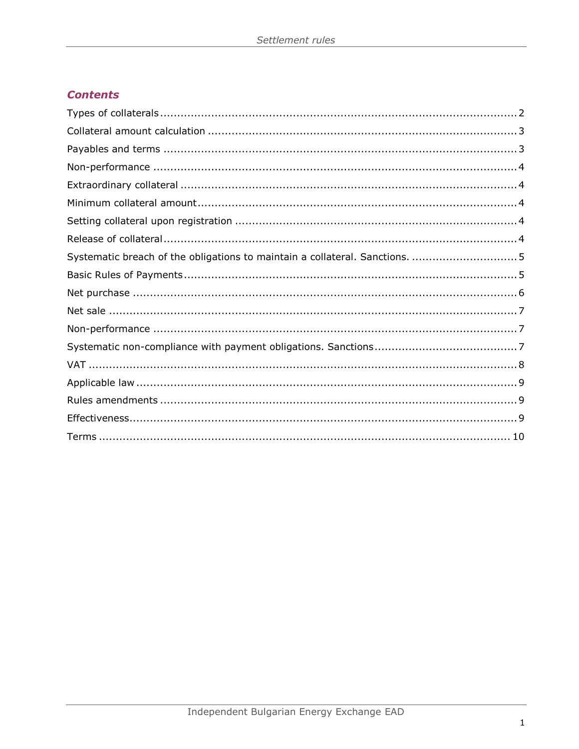## **Contents**

| Systematic breach of the obligations to maintain a collateral. Sanctions.  5 |  |
|------------------------------------------------------------------------------|--|
|                                                                              |  |
|                                                                              |  |
|                                                                              |  |
|                                                                              |  |
|                                                                              |  |
|                                                                              |  |
|                                                                              |  |
|                                                                              |  |
|                                                                              |  |
|                                                                              |  |
|                                                                              |  |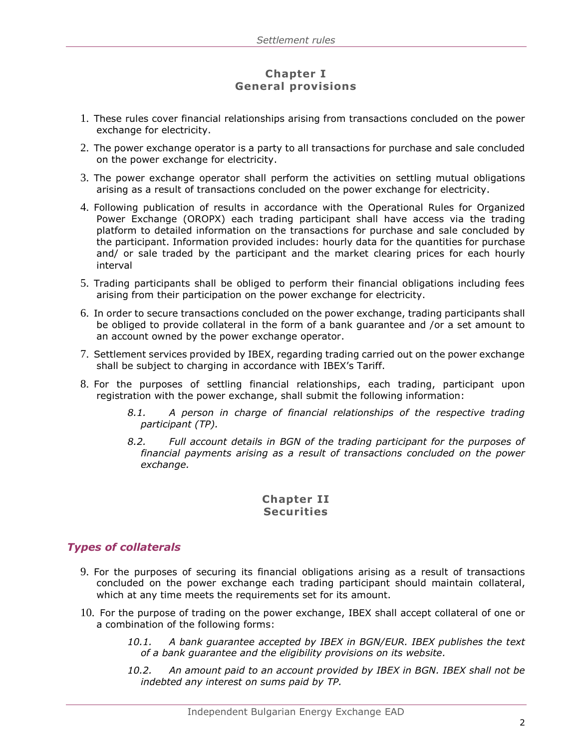## **Chapter I General provisions**

- 1. These rules cover financial relationships arising from transactions concluded on the power exchange for electricity.
- 2. The power exchange operator is a party to all transactions for purchase and sale concluded on the power exchange for electricity.
- 3. The power exchange operator shall perform the activities on settling mutual obligations arising as a result of transactions concluded on the power exchange for electricity.
- 4. Following publication of results in accordance with the Operational Rules for Organized Power Exchange (OROPX) each trading participant shall have access via the trading platform to detailed information on the transactions for purchase and sale concluded by the participant. Information provided includes: hourly data for the quantities for purchase and/ or sale traded by the participant and the market clearing prices for each hourly interval
- 5. Trading participants shall be obliged to perform their financial obligations including fees arising from their participation on the power exchange for electricity.
- 6. In order to secure transactions concluded on the power exchange, trading participants shall be obliged to provide collateral in the form of a bank guarantee and /or a set amount to an account owned by the power exchange operator.
- 7. Settlement services provided by IBEX, regarding trading carried out on the power exchange shall be subject to charging in accordance with IBEX's Tariff.
- 8. For the purposes of settling financial relationships, each trading, participant upon registration with the power exchange, shall submit the following information:
	- *8.1. A person in charge of financial relationships of the respective trading participant (TP).*
	- *8.2. Full account details in BGN of the trading participant for the purposes of financial payments arising as a result of transactions concluded on the power exchange.*

## **Chapter II Securities**

## <span id="page-2-0"></span>*Types of collaterals*

- 9. For the purposes of securing its financial obligations arising as a result of transactions concluded on the power exchange each trading participant should maintain collateral, which at any time meets the requirements set for its amount.
- 10. For the purpose of trading on the power exchange, IBEX shall accept collateral of one or a combination of the following forms:
	- *10.1. A bank guarantee accepted by IBEX in BGN/EUR. IBEX publishes the text of a bank guarantee and the eligibility provisions on its website.*
	- *10.2. An amount paid to an account provided by IBEX in BGN. IBEX shall not be indebted any interest on sums paid by TP.*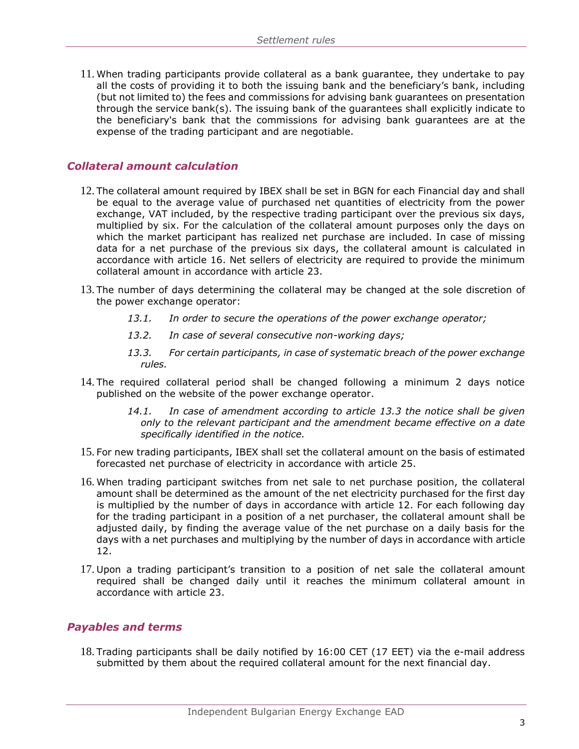11. When trading participants provide collateral as a bank guarantee, they undertake to pay all the costs of providing it to both the issuing bank and the beneficiary's bank, including (but not limited to) the fees and commissions for advising bank guarantees on presentation through the service bank(s). The issuing bank of the guarantees shall explicitly indicate to the beneficiary's bank that the commissions for advising bank guarantees are at the expense of the trading participant and are negotiable.

## <span id="page-3-0"></span>*Collateral amount calculation*

- 12. The collateral amount required by IBEX shall be set in BGN for each Financial day and shall be equal to the average value of purchased net quantities of electricity from the power exchange, VAT included, by the respective trading participant over the previous six days, multiplied by six. For the calculation of the collateral amount purposes only the days on which the market participant has realized net purchase are included. In case of missing data for a net purchase of the previous six days, the collateral amount is calculated in accordance with article 16. Net sellers of electricity are required to provide the minimum collateral amount in accordance with article 23.
- 13. The number of days determining the collateral may be changed at the sole discretion of the power exchange operator:
	- *13.1. In order to secure the operations of the power exchange operator;*
	- *13.2. In case of several consecutive non-working days;*
	- *13.3. For certain participants, in case of systematic breach of the power exchange rules.*
- 14. The required collateral period shall be changed following a minimum 2 days notice published on the website of the power exchange operator.
	- *14.1. In case of amendment according to article 13.3 the notice shall be given only to the relevant participant and the amendment became effective on a date specifically identified in the notice.*
- 15. For new trading participants, IBEX shall set the collateral amount on the basis of estimated forecasted net purchase of electricity in accordance with article 25.
- 16. When trading participant switches from net sale to net purchase position, the collateral amount shall be determined as the amount of the net electricity purchased for the first day is multiplied by the number of days in accordance with article 12. For each following day for the trading participant in a position of a net purchaser, the collateral amount shall be adjusted daily, by finding the average value of the net purchase on a daily basis for the days with a net purchases and multiplying by the number of days in accordance with article 12.
- 17. Upon a trading participant's transition to a position of net sale the collateral amount required shall be changed daily until it reaches the minimum collateral amount in accordance with article 23.

#### <span id="page-3-1"></span>*Payables and terms*

18. Trading participants shall be daily notified by 16:00 CET (17 ЕЕТ) via the e-mail address submitted by them about the required collateral amount for the next financial day.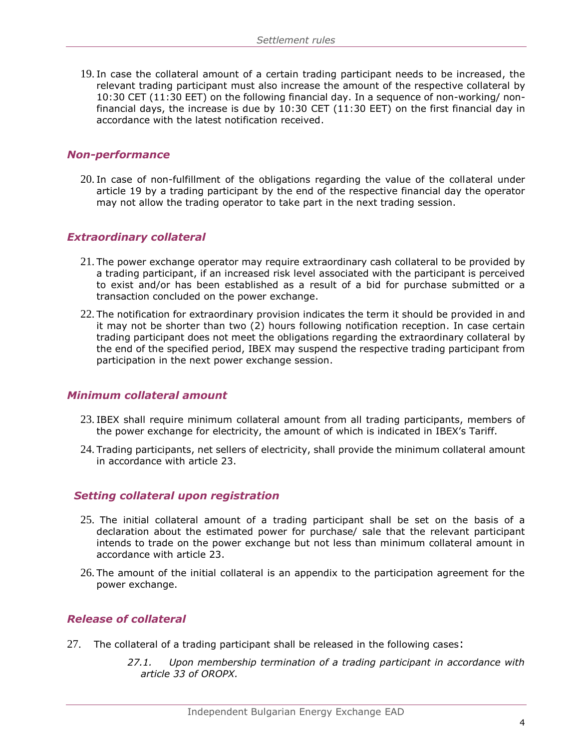19. In case the collateral amount of a certain trading participant needs to be increased, the relevant trading participant must also increase the amount of the respective collateral by 10:30 CET (11:30 ЕЕТ) on the following financial day. In a sequence of non-working/ nonfinancial days, the increase is due by 10:30 CET (11:30 ЕЕТ) on the first financial day in accordance with the latest notification received.

#### <span id="page-4-0"></span>*Non-performance*

20. In case of non-fulfillment of the obligations regarding the value of the collateral under article 19 by a trading participant by the end of the respective financial day the operator may not allow the trading operator to take part in the next trading session.

#### <span id="page-4-1"></span>*Extraordinary collateral*

- 21. The power exchange operator may require extraordinary cash collateral to be provided by a trading participant, if an increased risk level associated with the participant is perceived to exist and/or has been established as a result of a bid for purchase submitted or a transaction concluded on the power exchange.
- 22. The notification for extraordinary provision indicates the term it should be provided in and it may not be shorter than two (2) hours following notification reception. In case certain trading participant does not meet the obligations regarding the extraordinary collateral by the end of the specified period, IBEX may suspend the respective trading participant from participation in the next power exchange session.

#### <span id="page-4-2"></span>*Minimum collateral amount*

- 23. IBEX shall require minimum collateral amount from all trading participants, members of the power exchange for electricity, the amount of which is indicated in IBEX's Tariff.
- 24. Trading participants, net sellers of electricity, shall provide the minimum collateral amount in accordance with article 23.

#### <span id="page-4-3"></span> *Setting collateral upon registration*

- 25. The initial collateral amount of a trading participant shall be set on the basis of a declaration about the estimated power for purchase/ sale that the relevant participant intends to trade on the power exchange but not less than minimum collateral amount in accordance with article 23.
- 26. The amount of the initial collateral is an appendix to the participation agreement for the power exchange.

### <span id="page-4-4"></span>*Release of collateral*

- 27. The collateral of a trading participant shall be released in the following cases:
	- *27.1. Upon membership termination of a trading participant in accordance with article 33 of OROPX.*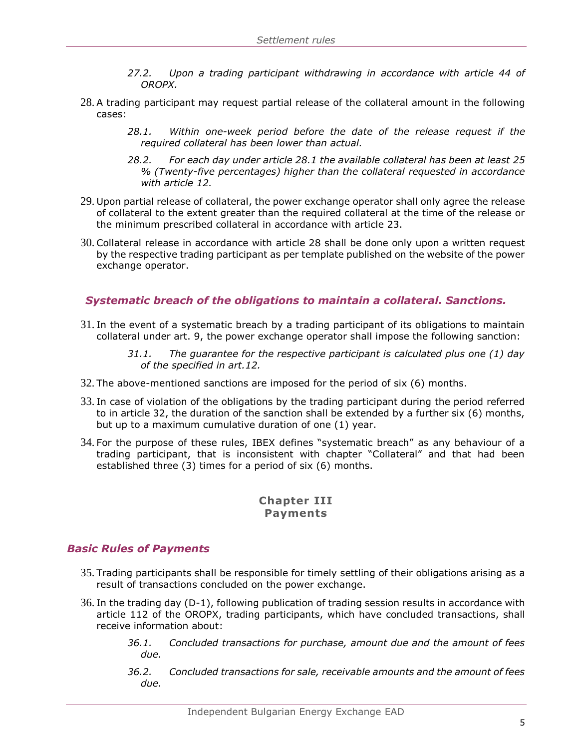- *27.2. Upon a trading participant withdrawing in accordance with article 44 of OROPX.*
- 28. A trading participant may request partial release of the collateral amount in the following cases:
	- *28.1. Within one-week period before the date of the release request if the required collateral has been lower than actual.*
	- *28.2. For each day under article 28.1 the available collateral has been at least 25 % (Twenty-five percentages) higher than the collateral requested in accordance with article 12.*
- 29. Upon partial release of collateral, the power exchange operator shall only agree the release of collateral to the extent greater than the required collateral at the time of the release or the minimum prescribed collateral in accordance with article 23.
- 30. Collateral release in accordance with article 28 shall be done only upon a written request by the respective trading participant as per template published on the website of the power exchange operator.

## <span id="page-5-0"></span>*Systematic breach of the obligations to maintain a collateral. Sanctions.*

- 31. In the event of a systematic breach by a trading participant of its obligations to maintain collateral under art. 9, the power exchange operator shall impose the following sanction:
	- *31.1. The guarantee for the respective participant is calculated plus one (1) day of the specified in art.12.*
- 32. The above-mentioned sanctions are imposed for the period of six (6) months.
- 33. In case of violation of the obligations by the trading participant during the period referred to in article 32, the duration of the sanction shall be extended by a further six (6) months, but up to a maximum cumulative duration of one (1) year.
- 34. For the purpose of these rules, IBEX defines "systematic breach" as any behaviour of a trading participant, that is inconsistent with chapter "Collateral" and that had been established three (3) times for a period of six (6) months.

## **Chapter III Payments**

#### <span id="page-5-1"></span>*Basic Rules of Payments*

- 35. Trading participants shall be responsible for timely settling of their obligations arising as a result of transactions concluded on the power exchange.
- 36. In the trading day (D-1), following publication of trading session results in accordance with article 112 of the OROPX, trading participants, which have concluded transactions, shall receive information about:
	- *36.1. Concluded transactions for purchase, amount due and the amount of fees due.*
	- *36.2. Concluded transactions for sale, receivable amounts and the amount of fees due.*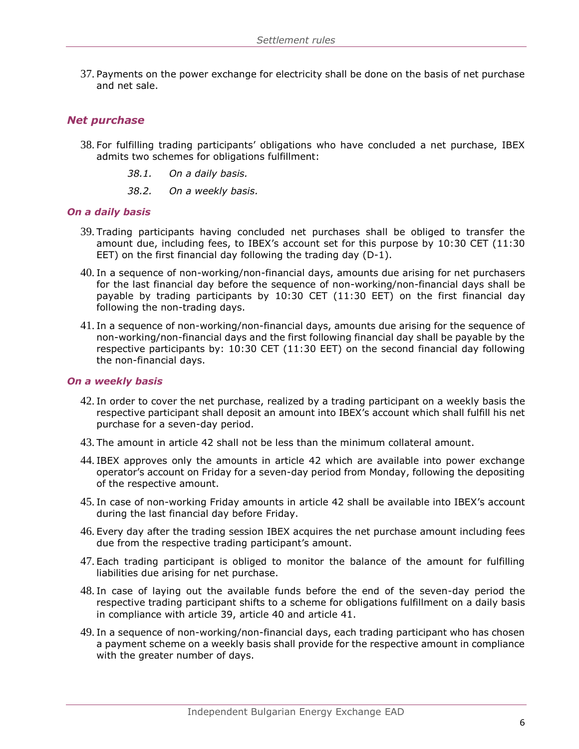37. Payments on the power exchange for electricity shall be done on the basis of net purchase and net sale.

## <span id="page-6-0"></span>*Net purchase*

- 38. For fulfilling trading participants' obligations who have concluded a net purchase, IBEX admits two schemes for obligations fulfillment:
	- *38.1. On a daily basis.*
	- *38.2. On a weekly basis.*

#### *On a daily basis*

- 39. Trading participants having concluded net purchases shall be obliged to transfer the amount due, including fees, to IBEX's account set for this purpose by 10:30 CET (11:30 ЕЕТ) on the first financial day following the trading day (D-1).
- 40. In a sequence of non-working/non-financial days, amounts due arising for net purchasers for the last financial day before the sequence of non-working/non-financial days shall be payable by trading participants by 10:30 CET (11:30 ЕЕТ) on the first financial day following the non-trading days.
- 41. In a sequence of non-working/non-financial days, amounts due arising for the sequence of non-working/non-financial days and the first following financial day shall be payable by the respective participants by: 10:30 CET (11:30 EET) on the second financial day following the non-financial days.

#### *On a weekly basis*

- 42. In order to cover the net purchase, realized by a trading participant on a weekly basis the respective participant shall deposit an amount into IBEX's account which shall fulfill his net purchase for a seven-day period.
- 43. The amount in article 42 shall not be less than the minimum collateral amount.
- 44. IBEX approves only the amounts in article 42 which are available into power exchange operator's account on Friday for a seven-day period from Monday, following the depositing of the respective amount.
- 45. In case of non-working Friday amounts in article 42 shall be available into IBEX's account during the last financial day before Friday.
- 46. Every day after the trading session IBEX acquires the net purchase amount including fees due from the respective trading participant's amount.
- 47. Each trading participant is obliged to monitor the balance of the amount for fulfilling liabilities due arising for net purchase.
- 48. In case of laying out the available funds before the end of the seven-day period the respective trading participant shifts to a scheme for obligations fulfillment on a daily basis in compliance with article 39, article 40 and article 41.
- 49. In a sequence of non-working/non-financial days, each trading participant who has chosen a payment scheme on a weekly basis shall provide for the respective amount in compliance with the greater number of days.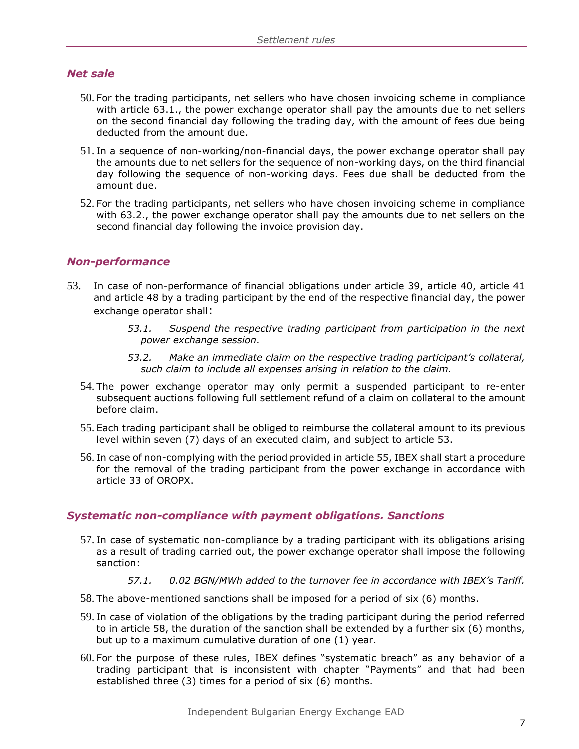## <span id="page-7-0"></span>*Net sale*

- 50. For the trading participants, net sellers who have chosen invoicing scheme in compliance with article 63.1., the power exchange operator shall pay the amounts due to net sellers on the second financial day following the trading day, with the amount of fees due being deducted from the amount due.
- 51. In a sequence of non-working/non-financial days, the power exchange operator shall pay the amounts due to net sellers for the sequence of non-working days, on the third financial day following the sequence of non-working days. Fees due shall be deducted from the amount due.
- 52. For the trading participants, net sellers who have chosen invoicing scheme in compliance with 63.2., the power exchange operator shall pay the amounts due to net sellers on the second financial day following the invoice provision day.

## <span id="page-7-1"></span>*Non-performance*

- 53. In case of non-performance of financial obligations under article 39, article 40, article 41 and article 48 by a trading participant by the end of the respective financial day, the power exchange operator shall:
	- *53.1. Suspend the respective trading participant from participation in the next power exchange session.*
	- *53.2. Make an immediate claim on the respective trading participant's collateral, such claim to include all expenses arising in relation to the claim.*
	- 54. The power exchange operator may only permit a suspended participant to re-enter subsequent auctions following full settlement refund of a claim on collateral to the amount before claim.
	- 55. Each trading participant shall be obliged to reimburse the collateral amount to its previous level within seven (7) days of an executed claim, and subject to article 53.
	- 56. In case of non-complying with the period provided in article 55, IBEX shall start a procedure for the removal of the trading participant from the power exchange in accordance with article 33 of OROPX.

## <span id="page-7-2"></span>*Systematic non-compliance with payment obligations. Sanctions*

- 57. In case of systematic non-compliance by a trading participant with its obligations arising as a result of trading carried out, the power exchange operator shall impose the following sanction:
	- *57.1. 0.02 BGN/MWh added to the turnover fee in accordance with IBEX's Tariff.*
- 58. The above-mentioned sanctions shall be imposed for a period of six (6) months.
- 59. In case of violation of the obligations by the trading participant during the period referred to in article 58, the duration of the sanction shall be extended by a further six (6) months, but up to a maximum cumulative duration of one (1) year.
- 60. For the purpose of these rules, IBEX defines "systematic breach" as any behavior of a trading participant that is inconsistent with chapter "Payments" and that had been established three (3) times for a period of six (6) months.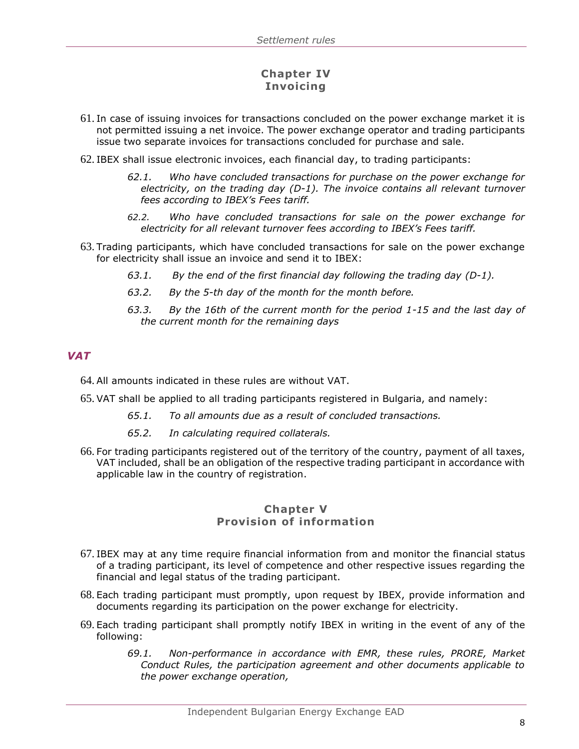## **Chapter IV Invoicing**

- 61. In case of issuing invoices for transactions concluded on the power exchange market it is not permitted issuing a net invoice. The power exchange operator and trading participants issue two separate invoices for transactions concluded for purchase and sale.
- 62. IBEX shall issue electronic invoices, each financial day, to trading participants:
	- *62.1. Who have concluded transactions for purchase on the power exchange for electricity, on the trading day (D-1). The invoice contains all relevant turnover fees according to IBEX's Fees tariff.*
	- *62.2. Who have concluded transactions for sale on the power exchange for electricity for all relevant turnover fees according to IBEX's Fees tariff.*
- 63. Trading participants, which have concluded transactions for sale on the power exchange for electricity shall issue an invoice and send it to IBEX:
	- *63.1. By the end of the first financial day following the trading day (D-1).*
	- *63.2. By the 5-th day of the month for the month before.*
	- *63.3. By the 16th of the current month for the period 1-15 and the last day of the current month for the remaining days*

#### <span id="page-8-0"></span>*VAT*

- 64. All amounts indicated in these rules are without VAT.
- 65. VAT shall be applied to all trading participants registered in Bulgaria, and namely:
	- *65.1. To all amounts due as a result of concluded transactions.*
	- *65.2. In calculating required collaterals.*
- 66. For trading participants registered out of the territory of the country, payment of all taxes, VAT included, shall be an obligation of the respective trading participant in accordance with applicable law in the country of registration.

## **Chapter V Provision of information**

- 67. IBEX may at any time require financial information from and monitor the financial status of a trading participant, its level of competence and other respective issues regarding the financial and legal status of the trading participant.
- 68. Each trading participant must promptly, upon request by IBEX, provide information and documents regarding its participation on the power exchange for electricity.
- 69. Each trading participant shall promptly notify IBEX in writing in the event of any of the following:
	- *69.1. Non-performance in accordance with EMR, these rules, PRORE, Market Conduct Rules, the participation agreement and other documents applicable to the power exchange operation,*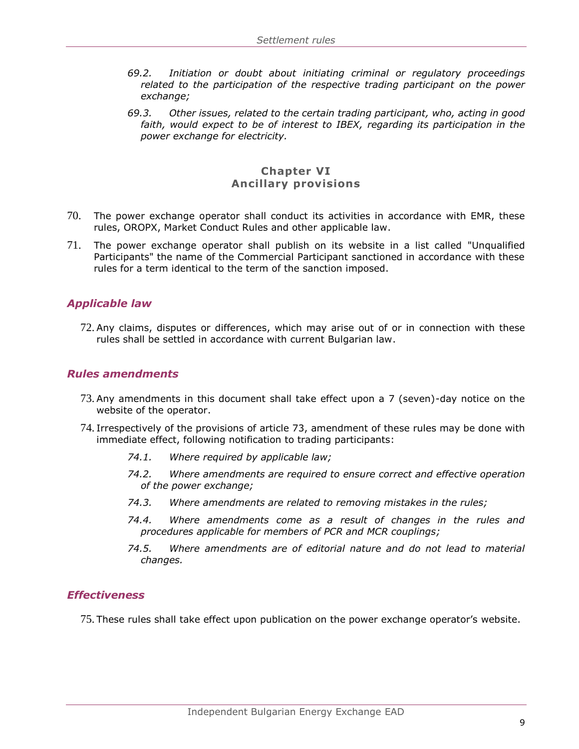- *69.2. Initiation or doubt about initiating criminal or regulatory proceedings related to the participation of the respective trading participant on the power exchange;*
- *69.3. Other issues, related to the certain trading participant, who, acting in good faith, would expect to be of interest to IBEX, regarding its participation in the power exchange for electricity.*

### **Chapter VI Ancillary provisions**

- 70. The power exchange operator shall conduct its activities in accordance with EMR, these rules, OROPX, Market Conduct Rules and other applicable law.
- 71. The power exchange operator shall publish on its website in a list called "Unqualified Participants" the name of the Commercial Participant sanctioned in accordance with these rules for a term identical to the term of the sanction imposed.

## <span id="page-9-0"></span>*Applicable law*

72. Any claims, disputes or differences, which may arise out of or in connection with these rules shall be settled in accordance with current Bulgarian law.

#### <span id="page-9-1"></span>*Rules amendments*

- 73. Any amendments in this document shall take effect upon a 7 (seven)-day notice on the website of the operator.
- 74. Irrespectively of the provisions of article 73, amendment of these rules may be done with immediate effect, following notification to trading participants:
	- *74.1. Where required by applicable law;*
	- *74.2. Where amendments are required to ensure correct and effective operation of the power exchange;*
	- *74.3. Where amendments are related to removing mistakes in the rules;*
	- *74.4. Where amendments come as a result of changes in the rules and procedures applicable for members of PCR and MCR couplings;*
	- *74.5. Where amendments are of editorial nature and do not lead to material changes.*

#### <span id="page-9-2"></span>*Effectiveness*

75. These rules shall take effect upon publication on the power exchange operator's website.